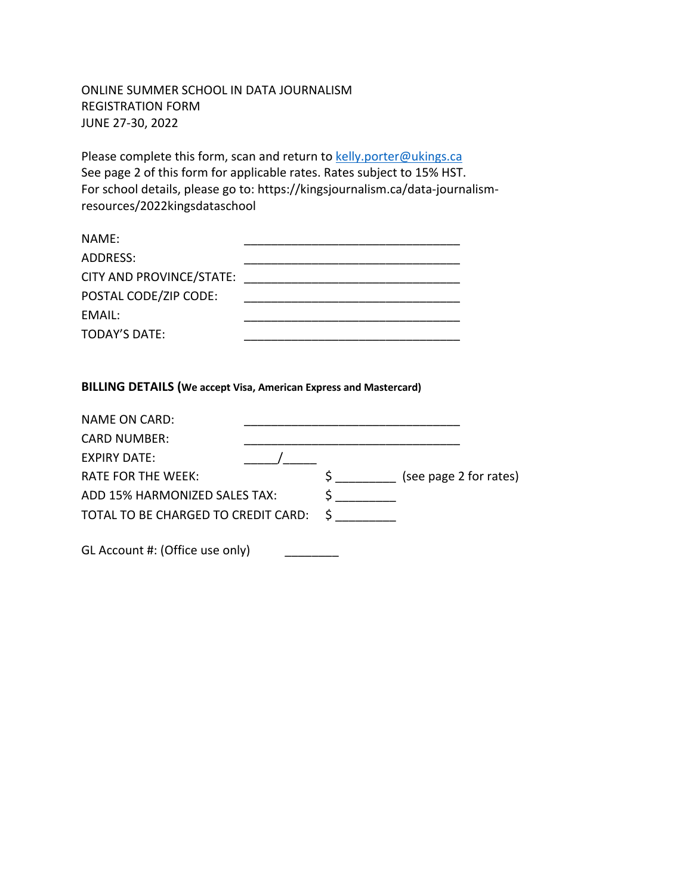## ONLINE SUMMER SCHOOL IN DATA JOURNALISM REGISTRATION FORM JUNE 27-30, 2022

Please complete this form, scan and return to kelly.porter@ukings.ca See page 2 of this form for applicable rates. Rates subject to 15% HST. For school details, please go to: https://kingsjournalism.ca/data-journalismresources/2022kingsdataschool

| NAME:                    |  |
|--------------------------|--|
| ADDRESS:                 |  |
| CITY AND PROVINCE/STATE: |  |
| POSTAL CODE/ZIP CODE:    |  |
| EMAIL:                   |  |
| <b>TODAY'S DATE:</b>     |  |

## **BILLING DETAILS (We accept Visa, American Express and Mastercard)**

| <b>NAME ON CARD:</b>                |     |                        |
|-------------------------------------|-----|------------------------|
| <b>CARD NUMBER:</b>                 |     |                        |
| <b>EXPIRY DATE:</b>                 |     |                        |
| <b>RATE FOR THE WEEK:</b>           | S i | (see page 2 for rates) |
| ADD 15% HARMONIZED SALES TAX:       |     |                        |
| TOTAL TO BE CHARGED TO CREDIT CARD: |     |                        |
|                                     |     |                        |
| GL Account #: (Office use only)     |     |                        |